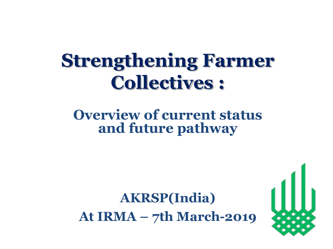### **Strengthening Farmer Collectives :**

### **Overview of current status and future pathway**

### **AKRSP(India) At IRMA – 7th March-2019**

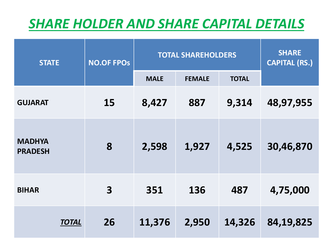### *SHARE HOLDER AND SHARE CAPITAL DETAILS*

| <b>STATE</b>                    | <b>NO.OF FPOS</b> | <b>TOTAL SHAREHOLDERS</b> | <b>SHARE</b><br><b>CAPITAL (RS.)</b> |              |           |
|---------------------------------|-------------------|---------------------------|--------------------------------------|--------------|-----------|
|                                 |                   | <b>MALE</b>               | <b>FEMALE</b>                        | <b>TOTAL</b> |           |
| <b>GUJARAT</b>                  | 15                | 8,427                     | 887                                  | 9,314        | 48,97,955 |
| <b>MADHYA</b><br><b>PRADESH</b> | 8                 | 2,598                     | 1,927                                | 4,525        | 30,46,870 |
| <b>BIHAR</b>                    | 3                 | 351                       | 136                                  | 487          | 4,75,000  |
| <b>TOTAL</b>                    | 26                | 11,376                    | 2,950                                | 14,326       | 84,19,825 |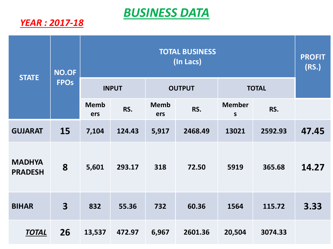### *BUSINESS DATA*

#### *YEAR : 2017-18*

| <b>STATE</b>                    | <b>NO.OF</b><br><b>FPOS</b> | <b>TOTAL BUSINESS</b><br>(In Lacs) |        |                    |         |                               |         | <b>PROFIT</b><br>(RS.) |
|---------------------------------|-----------------------------|------------------------------------|--------|--------------------|---------|-------------------------------|---------|------------------------|
|                                 |                             | <b>INPUT</b>                       |        | <b>OUTPUT</b>      |         | <b>TOTAL</b>                  |         |                        |
|                                 |                             | <b>Memb</b><br>ers                 | RS.    | <b>Memb</b><br>ers | RS.     | <b>Member</b><br>$\mathsf{s}$ | RS.     |                        |
| <b>GUJARAT</b>                  | 15                          | 7,104                              | 124.43 | 5,917              | 2468.49 | 13021                         | 2592.93 | 47.45                  |
| <b>MADHYA</b><br><b>PRADESH</b> | 8                           | 5,601                              | 293.17 | 318                | 72.50   | 5919                          | 365.68  | 14.27                  |
| <b>BIHAR</b>                    | $\overline{\mathbf{3}}$     | 832                                | 55.36  | 732                | 60.36   | 1564                          | 115.72  | 3.33                   |
| <b>TOTAL</b>                    | 26                          | 13,537                             | 472.97 | 6,967              | 2601.36 | 20,504                        | 3074.33 |                        |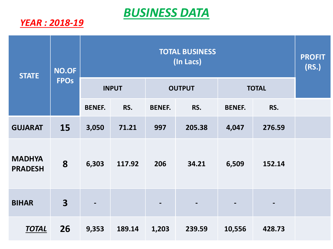### *BUSINESS DATA*

#### *YEAR : 2018-19*

| <b>STATE</b>                    | NO.OF<br><b>FPOS</b>    | <b>TOTAL BUSINESS</b><br>(In Lacs) |        |               |        |               |        | <b>PROFIT</b><br>(RS.) |
|---------------------------------|-------------------------|------------------------------------|--------|---------------|--------|---------------|--------|------------------------|
|                                 |                         | <b>INPUT</b>                       |        | <b>OUTPUT</b> |        | <b>TOTAL</b>  |        |                        |
|                                 |                         | <b>BENEF.</b>                      | RS.    | <b>BENEF.</b> | RS.    | <b>BENEF.</b> | RS.    |                        |
| <b>GUJARAT</b>                  | 15                      | 3,050                              | 71.21  | 997           | 205.38 | 4,047         | 276.59 |                        |
| <b>MADHYA</b><br><b>PRADESH</b> | 8                       | 6,303                              | 117.92 | 206           | 34.21  | 6,509         | 152.14 |                        |
| <b>BIHAR</b>                    | $\overline{\mathbf{3}}$ |                                    |        |               |        |               |        |                        |
| <b>TOTAL</b>                    | 26                      | 9,353                              | 189.14 | 1,203         | 239.59 | 10,556        | 428.73 |                        |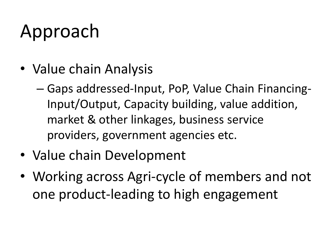# Approach

- Value chain Analysis
	- Gaps addressed-Input, PoP, Value Chain Financing-Input/Output, Capacity building, value addition, market & other linkages, business service providers, government agencies etc.
- Value chain Development
- Working across Agri-cycle of members and not one product-leading to high engagement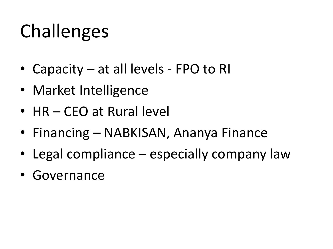# Challenges

- Capacity at all levels FPO to RI
- Market Intelligence
- HR CEO at Rural level
- Financing NABKISAN, Ananya Finance
- Legal compliance especially company law
- Governance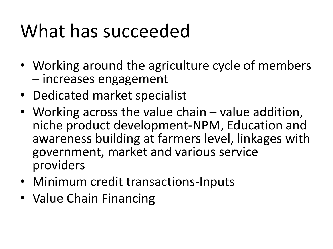## What has succeeded

- Working around the agriculture cycle of members – increases engagement
- Dedicated market specialist
- Working across the value chain value addition, niche product development-NPM, Education and awareness building at farmers level, linkages with government, market and various service providers
- Minimum credit transactions-Inputs
- Value Chain Financing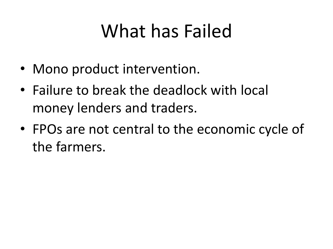## What has Failed

- Mono product intervention.
- Failure to break the deadlock with local money lenders and traders.
- FPOs are not central to the economic cycle of the farmers.